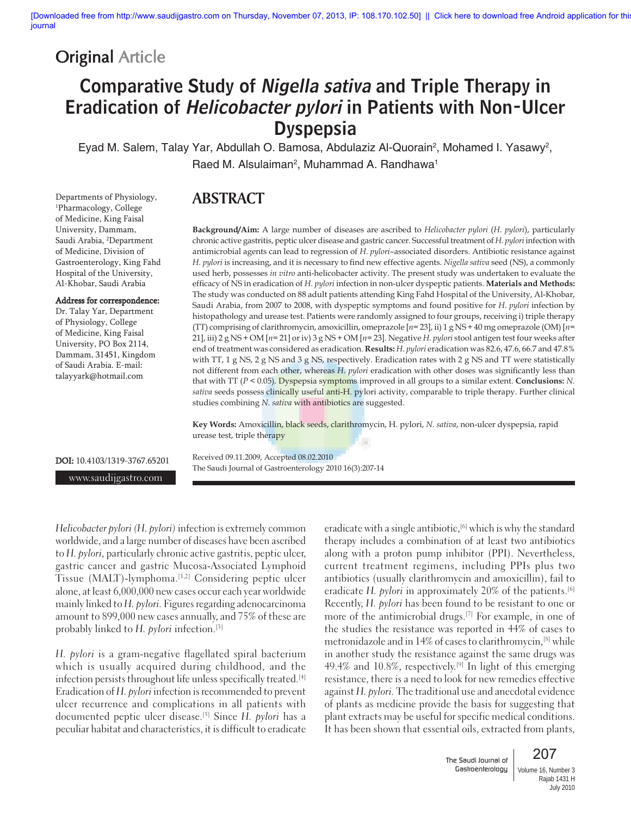## **Original Article**

# Comparative Study of Nigella sativa and Triple Therapy in Eradication of Helicobacter pylori in Patients with Non-Ulcer **Dyspepsia**

Eyad M. Salem, Talay Yar, Abdullah O. Bamosa, Abdulaziz Al-Quorain<sup>2</sup>, Mohamed I. Yasawy<sup>2</sup>, Raed M. Alsulaiman<sup>2</sup>, Muhammad A. Randhawa<sup>1</sup>

## **ABSTRACT**

1 Pharmacology, College of Medicine, King Faisal University, Dammam, Saudi Arabia, 2 Department of Medicine, Division of Gastroenterology, King Fahd Hospital of the University, Al-Khobar, Saudi Arabia Address for correspondence: Dr. Talay Yar, Department of Physiology, College

of Medicine, King Faisal University, PO Box 2114, Dammam, 31451, Kingdom of Saudi Arabia. E-mail: talayyark@hotmail.com

Departments of Physiology,

#### **Background/Aim:** A large number of diseases are ascribed to *Helicobacter pylori* (*H. pylori*), particularly chronic active gastritis, peptic ulcer disease and gastric cancer. Successful treatment of *H. pylori* infection with antimicrobial agents can lead to regression of *H. pylori*–associated disorders. Antibiotic resistance against *H. pylori* is increasing, and it is necessary to find new effective agents. *Nigella sativa* seed (NS), a commonly used herb, possesses *in vitro* anti-helicobacter activity. The present study was undertaken to evaluate the efficacy of NS in eradication of *H. pylori* infection in non-ulcer dyspeptic patients. **Materials and Methods:** The study was conducted on 88 adult patients attending King Fahd Hospital of the University, Al-Khobar, Saudi Arabia, from 2007 to 2008, with dyspeptic symptoms and found positive for *H. pylori* infection by histopathology and urease test. Patients were randomly assigned to four groups, receiving i) triple therapy (TT) comprising of clarithromycin, amoxicillin, omeprazole [*n*= 23], ii) 1 g NS + 40 mg omeprazole (OM) [*n*= 21], iii) 2 g NS + OM [*n*= 21] or iv) 3 g NS + OM [*n*= 23]. Negative *H. pylori* stool antigen test four weeks after end of treatment was considered as eradication. **Results:** *H. pylori* eradication was 82.6, 47.6, 66.7 and 47.8% with TT, 1 g NS, 2 g NS and 3 g NS, respectively. Eradication rates with 2 g NS and TT were statistically not different from each other, whereas *H. pylori* eradication with other doses was significantly less than that with TT (*P* < 0.05). Dyspepsia symptoms improved in all groups to a similar extent. **Conclusions:** *N. sativa* seeds possess clinically useful anti-H. pylori activity, comparable to triple therapy. Further clinical studies combining *N. sativa* with antibiotics are suggested.

**Key Words:** Amoxicillin, black seeds, clarithromycin, H. pylori, *N. sativa*, non-ulcer dyspepsia, rapid urease test, triple therapy

DOI: 10.4103/1319-3767.65201

www.saudijgastro.com

Received 09.11.2009, Accepted 08.02.2010 The Saudi Journal of Gastroenterology 2010 16(3):207-14

*Helicobacter pylori (H. pylori)* infection is extremely common worldwide, and a large number of diseases have been ascribed to *H. pylori,* particularly chronic active gastritis, peptic ulcer, gastric cancer and gastric Mucosa-Associated Lymphoid Tissue (MALT)-lymphoma.<sup>[1,2]</sup> Considering peptic ulcer alone, at least 6,000,000 new cases occur each year worldwide mainly linked to *H. pylori.* Figures regarding adenocarcinoma amount to 899,000 new cases annually, and 75% of these are probably linked to *H. pylori* infection.[3]

*H. pylori* is a gram-negative flagellated spiral bacterium which is usually acquired during childhood, and the infection persists throughout life unless specifically treated.[4] Eradication of *H. pylori* infection is recommended to prevent ulcer recurrence and complications in all patients with documented peptic ulcer disease.[5] Since *H. pylori* has a peculiar habitat and characteristics, it is difficult to eradicate eradicate with a single antibiotic,<sup>[6]</sup> which is why the standard therapy includes a combination of at least two antibiotics along with a proton pump inhibitor (PPI). Nevertheless, current treatment regimens, including PPIs plus two antibiotics (usually clarithromycin and amoxicillin), fail to eradicate *H. pylori* in approximately 20% of the patients.<sup>[6]</sup> Recently, *H. pylori* has been found to be resistant to one or more of the antimicrobial drugs.<sup>[7]</sup> For example, in one of the studies the resistance was reported in 44% of cases to metronidazole and in 14% of cases to clarithromycin,[8] while in another study the resistance against the same drugs was 49.4% and 10.8%, respectively.<sup>[9]</sup> In light of this emerging resistance, there is a need to look for new remedies effective against *H. pylori.* The traditional use and anecdotal evidence of plants as medicine provide the basis for suggesting that plant extracts may be useful for specific medical conditions. It has been shown that essential oils, extracted from plants,

> The Saudi Journal of Gastroenterology

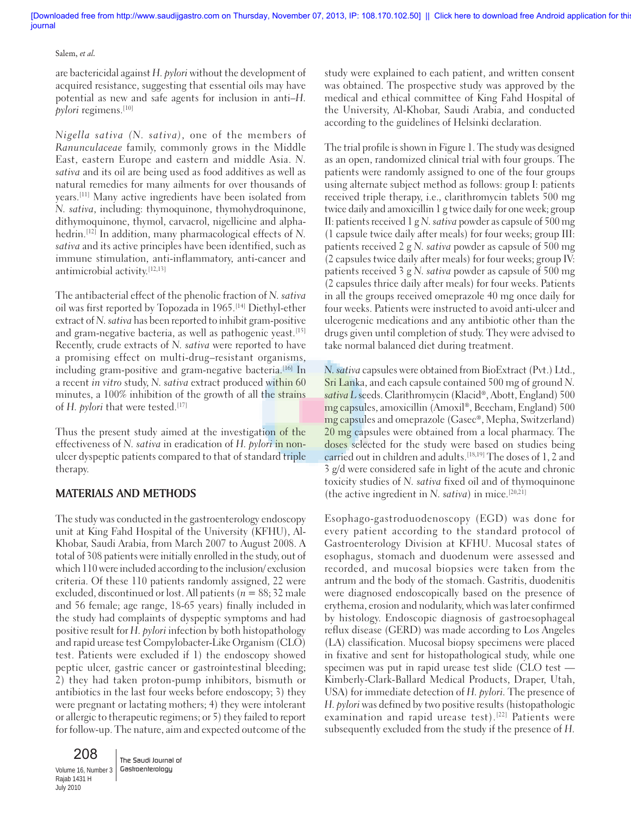#### Salem, *et al.*

are bactericidal against *H. pylori* without the development of acquired resistance, suggesting that essential oils may have potential as new and safe agents for inclusion in anti–*H. pylori* regimens.<sup>[10]</sup>

*Nigella sativa (N. sativa),* one of the members of *Ranunculaceae* family, commonly grows in the Middle East, eastern Europe and eastern and middle Asia. *N. sativa* and its oil are being used as food additives as well as natural remedies for many ailments for over thousands of years.[11] Many active ingredients have been isolated from *N. sativa*, including: thymoquinone, thymohydroquinone, dithymoquinone, thymol, carvacrol, nigellicine and alphahedrin.[12] In addition, many pharmacological effects of *N. sativa* and its active principles have been identified, such as immune stimulation, anti-inflammatory, anti-cancer and antimicrobial activity.[12,13]

The antibacterial effect of the phenolic fraction of *N. sativa* oil was first reported by Topozada in 1965.[14] Diethyl-ether extract of *N. sativa* has been reported to inhibit gram-positive and gram-negative bacteria, as well as pathogenic yeast.<sup>[15]</sup> Recently, crude extracts of *N. sativa* were reported to have a promising effect on multi-drug–resistant organisms, including gram-positive and gram-negative bacteria.<sup>[16]</sup> In a recent *in vitro* study, *N. sativa* extract produced within 60 minutes, a 100% inhibition of the growth of all the strains of *H. pylori* that were tested.<sup>[17]</sup>

Thus the present study aimed at the investigation of the effectiveness of *N. sativa* in eradication of *H. pylori* in nonulcer dyspeptic patients compared to that of standard triple therapy.

### **MATERIALS AND METHODS**

The study was conducted in the gastroenterology endoscopy unit at King Fahd Hospital of the University (KFHU), Al-Khobar, Saudi Arabia, from March 2007 to August 2008. A total of 308 patients were initially enrolled in the study, out of which 110 were included according to the inclusion/ exclusion criteria. Of these 110 patients randomly assigned, 22 were excluded, discontinued or lost. All patients (*n* = 88; 32 male and 56 female; age range, 18-65 years) finally included in the study had complaints of dyspeptic symptoms and had positive result for *H. pylori* infection by both histopathology and rapid urease test Compylobacter-Like Organism (CLO) test. Patients were excluded if 1) the endoscopy showed peptic ulcer, gastric cancer or gastrointestinal bleeding; 2) they had taken proton-pump inhibitors, bismuth or antibiotics in the last four weeks before endoscopy; 3) they were pregnant or lactating mothers; 4) they were intolerant or allergic to therapeutic regimens; or 5) they failed to report for follow-up. The nature, aim and expected outcome of the

208 Volume 16, Number 3 Rajab 1431 H July 2010

The Saudi Journal of Gastroenterology

study were explained to each patient, and written consent was obtained. The prospective study was approved by the medical and ethical committee of King Fahd Hospital of the University, Al-Khobar, Saudi Arabia, and conducted according to the guidelines of Helsinki declaration.

The trial profile is shown in Figure 1. The study was designed as an open, randomized clinical trial with four groups. The patients were randomly assigned to one of the four groups using alternate subject method as follows: group I: patients received triple therapy, i.e., clarithromycin tablets 500 mg twice daily and amoxicillin 1 g twice daily for one week; group II: patients received 1 g *N. sativa* powder as capsule of 500 mg (1 capsule twice daily after meals) for four weeks; group III: patients received 2 g *N. sativa* powder as capsule of 500 mg (2 capsules twice daily after meals) for four weeks; group IV: patients received 3 g *N. sativa* powder as capsule of 500 mg (2 capsules thrice daily after meals) for four weeks. Patients in all the groups received omeprazole 40 mg once daily for four weeks. Patients were instructed to avoid anti-ulcer and ulcerogenic medications and any antibiotic other than the drugs given until completion of study. They were advised to take normal balanced diet during treatment.

*N. sativa* capsules were obtained from BioExtract (Pvt.) Ltd., Sri Lanka, and each capsule contained 500 mg of ground *N. sativa L* seeds. Clarithromycin (Klacid®, Abott, England) 500 mg capsules, amoxicillin (Amoxil®, Beecham, England) 500 mg capsules and omeprazole (Gasec®, Mepha, Switzerland) 20 mg capsules were obtained from a local pharmacy. The doses selected for the study were based on studies being carried out in children and adults.[18,19] The doses of 1, 2 and 3 g/d were considered safe in light of the acute and chronic toxicity studies of *N. sativa* fixed oil and of thymoquinone (the active ingredient in *N. sativa*) in mice.[20,21]

Esophago-gastroduodenoscopy (EGD) was done for every patient according to the standard protocol of Gastroenterology Division at KFHU. Mucosal states of esophagus, stomach and duodenum were assessed and recorded, and mucosal biopsies were taken from the antrum and the body of the stomach. Gastritis, duodenitis were diagnosed endoscopically based on the presence of erythema, erosion and nodularity, which was later confirmed by histology. Endoscopic diagnosis of gastroesophageal reflux disease (GERD) was made according to Los Angeles (LA) classification. Mucosal biopsy specimens were placed in fixative and sent for histopathological study, while one specimen was put in rapid urease test slide (CLO test — Kimberly-Clark-Ballard Medical Products, Draper, Utah, USA) for immediate detection of *H. pylori.* The presence of *H. pylori* was defined by two positive results (histopathologic examination and rapid urease test).<sup>[22]</sup> Patients were subsequently excluded from the study if the presence of *H.*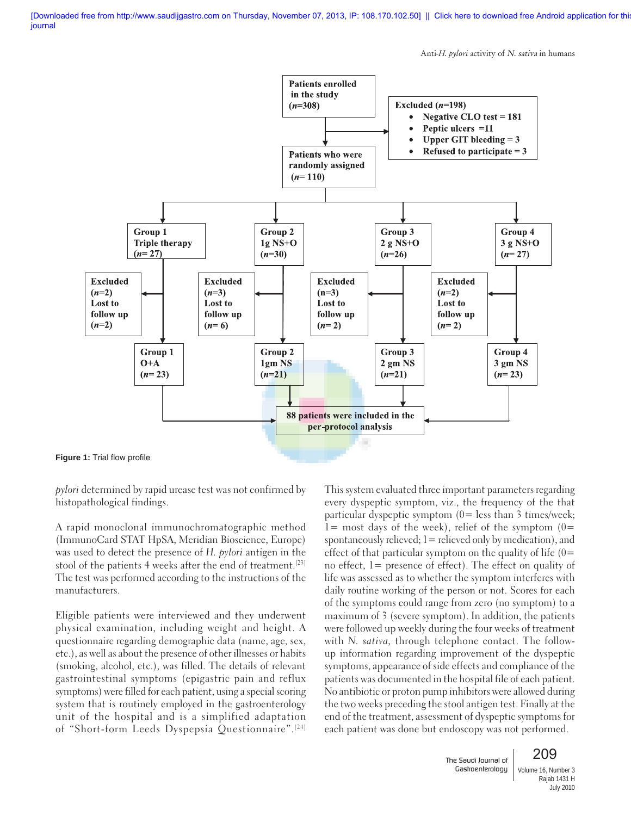Anti-*H. pylori* activity of N. sativa in humans



*pylori* determined by rapid urease test was not confirmed by histopathological findings.

A rapid monoclonal immunochromatographic method (ImmunoCard STAT HpSA, Meridian Bioscience, Europe) was used to detect the presence of *H. pylori* antigen in the stool of the patients 4 weeks after the end of treatment.<sup>[23]</sup> The test was performed according to the instructions of the manufacturers.

Eligible patients were interviewed and they underwent physical examination, including weight and height. A questionnaire regarding demographic data (name, age, sex, etc.), as well as about the presence of other illnesses or habits (smoking, alcohol, etc.), was filled. The details of relevant gastrointestinal symptoms (epigastric pain and reflux symptoms) were filled for each patient, using a special scoring system that is routinely employed in the gastroenterology unit of the hospital and is a simplified adaptation of "Short-form Leeds Dyspepsia Questionnaire".[24] This system evaluated three important parameters regarding every dyspeptic symptom, viz., the frequency of the that particular dyspeptic symptom (0= less than 3 times/week;  $1=$  most days of the week), relief of the symptom  $(0=$ spontaneously relieved;  $l =$  relieved only by medication), and effect of that particular symptom on the quality of life  $(0=$ no effect, 1= presence of effect). The effect on quality of life was assessed as to whether the symptom interferes with daily routine working of the person or not. Scores for each of the symptoms could range from zero (no symptom) to a maximum of 3 (severe symptom). In addition, the patients were followed up weekly during the four weeks of treatment with *N. sativa,* through telephone contact. The followup information regarding improvement of the dyspeptic symptoms, appearance of side effects and compliance of the patients was documented in the hospital file of each patient. No antibiotic or proton pump inhibitors were allowed during the two weeks preceding the stool antigen test. Finally at the end of the treatment, assessment of dyspeptic symptoms for each patient was done but endoscopy was not performed.

> The Saudi Journal of Gastroenterology



Volume 16, Number 3 Rajab 1431 H July 2010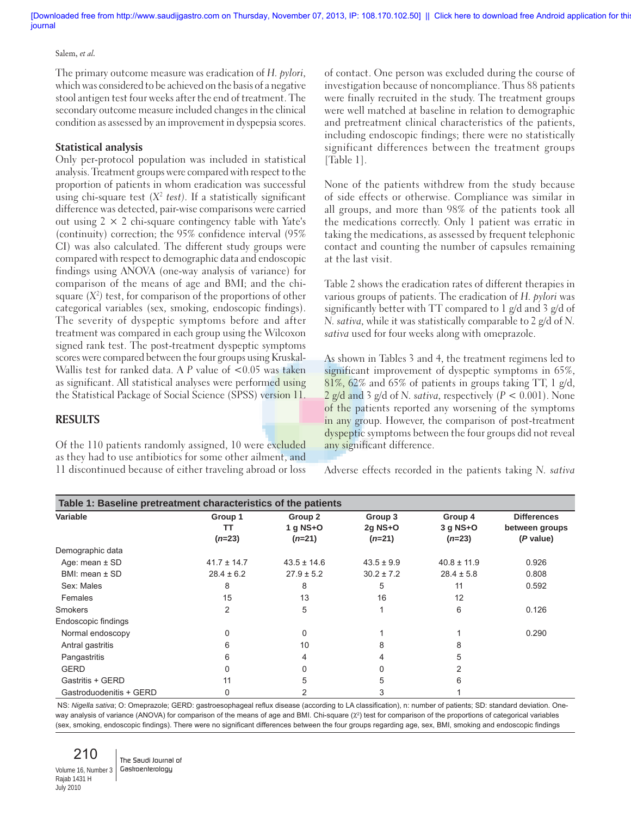#### Salem, *et al.*

The primary outcome measure was eradication of *H. pylori,* which was considered to be achieved on the basis of a negative stool antigen test four weeks after the end of treatment. The secondary outcome measure included changes in the clinical condition as assessed by an improvement in dyspepsia scores.

#### **Statistical analysis**

Only per-protocol population was included in statistical analysis. Treatment groups were compared with respect to the proportion of patients in whom eradication was successful using chi-square test  $(X^2 \text{ test})$ . If a statistically significant difference was detected, pair-wise comparisons were carried out using  $2 \times 2$  chi-square contingency table with Yate's (continuity) correction; the 95% confidence interval (95% CI) was also calculated. The different study groups were compared with respect to demographic data and endoscopic findings using ANOVA (one-way analysis of variance) for comparison of the means of age and BMI; and the chisquare  $(X^2)$  test, for comparison of the proportions of other categorical variables (sex, smoking, endoscopic findings). The severity of dyspeptic symptoms before and after treatment was compared in each group using the Wilcoxon signed rank test. The post-treatment dyspeptic symptoms scores were compared between the four groups using Kruskal-Wallis test for ranked data. A *P* value of <0.05 was taken as significant. All statistical analyses were performed using the Statistical Package of Social Science (SPSS) version 11.

## **RESULTS**

Of the 110 patients randomly assigned, 10 were excluded as they had to use antibiotics for some other ailment, and 11 discontinued because of either traveling abroad or loss of contact. One person was excluded during the course of investigation because of noncompliance. Thus 88 patients were finally recruited in the study. The treatment groups were well matched at baseline in relation to demographic and pretreatment clinical characteristics of the patients, including endoscopic findings; there were no statistically significant differences between the treatment groups [Table 1].

None of the patients withdrew from the study because of side effects or otherwise. Compliance was similar in all groups, and more than 98% of the patients took all the medications correctly. Only 1 patient was erratic in taking the medications, as assessed by frequent telephonic contact and counting the number of capsules remaining at the last visit.

Table 2 shows the eradication rates of different therapies in various groups of patients. The eradication of *H. pylori* was significantly better with TT compared to 1 g/d and 3 g/d of *N. sativa,* while it was statistically comparable to 2 g/d of *N. sativa* used for four weeks along with omeprazole.

As shown in Tables 3 and 4, the treatment regimens led to significant improvement of dyspeptic symptoms in 65%, 81%, 62% and 65% of patients in groups taking TT, 1 g/d, 2 g/d and 3 g/d of *N. sativa,* respectively (*P* < 0.001). None of the patients reported any worsening of the symptoms in any group. However, the comparison of post-treatment dyspeptic symptoms between the four groups did not reveal any significant difference.

Adverse effects recorded in the patients taking *N. sativa*

| Table 1: Baseline pretreatment characteristics of the patients |                           |                                   |                                  |                                   |                                                   |
|----------------------------------------------------------------|---------------------------|-----------------------------------|----------------------------------|-----------------------------------|---------------------------------------------------|
| Variable                                                       | Group 1<br>TT<br>$(n=23)$ | Group 2<br>$1$ q NS+O<br>$(n=21)$ | Group 3<br>$2q$ NS+O<br>$(n=21)$ | Group 4<br>$3$ q NS+O<br>$(n=23)$ | <b>Differences</b><br>between groups<br>(P value) |
| Demographic data                                               |                           |                                   |                                  |                                   |                                                   |
| Age: mean $\pm$ SD                                             | $41.7 \pm 14.7$           | $43.5 \pm 14.6$                   | $43.5 \pm 9.9$                   | $40.8 \pm 11.9$                   | 0.926                                             |
| $BMI:$ mean $\pm$ SD                                           | $28.4 \pm 6.2$            | $27.9 \pm 5.2$                    | $30.2 \pm 7.2$                   | $28.4 \pm 5.8$                    | 0.808                                             |
| Sex: Males                                                     | 8                         | 8                                 | 5                                | 11                                | 0.592                                             |
| Females                                                        | 15                        | 13                                | 16                               | 12                                |                                                   |
| <b>Smokers</b>                                                 | 2                         | 5                                 |                                  | 6                                 | 0.126                                             |
| Endoscopic findings                                            |                           |                                   |                                  |                                   |                                                   |
| Normal endoscopy                                               | $\Omega$                  | 0                                 |                                  |                                   | 0.290                                             |
| Antral gastritis                                               | 6                         | 10                                | 8                                | 8                                 |                                                   |
| Pangastritis                                                   | 6                         | 4                                 |                                  | 5                                 |                                                   |
| <b>GERD</b>                                                    | $\Omega$                  |                                   |                                  | 2                                 |                                                   |
| Gastritis + GERD                                               | 11                        | 5.                                | 5                                | 6                                 |                                                   |
| Gastroduodenitis + GERD                                        | 0                         |                                   | 3                                |                                   |                                                   |

NS: Nigella sativa; O: Omeprazole; GERD: gastroesophageal reflux disease (according to LA classification), n: number of patients; SD: standard deviation. Oneway analysis of variance (ANOVA) for comparison of the means of age and BMI. Chi-square ( $\chi^2$ ) test for comparison of the proportions of categorical variables (sex, smoking, endoscopic findings). There were no significant differences between the four groups regarding age, sex, BMI, smoking and endoscopic findings

210 Volume 16, Number 3 Rajab 1431 H July 2010

The Saudi Journal of Gastroenterology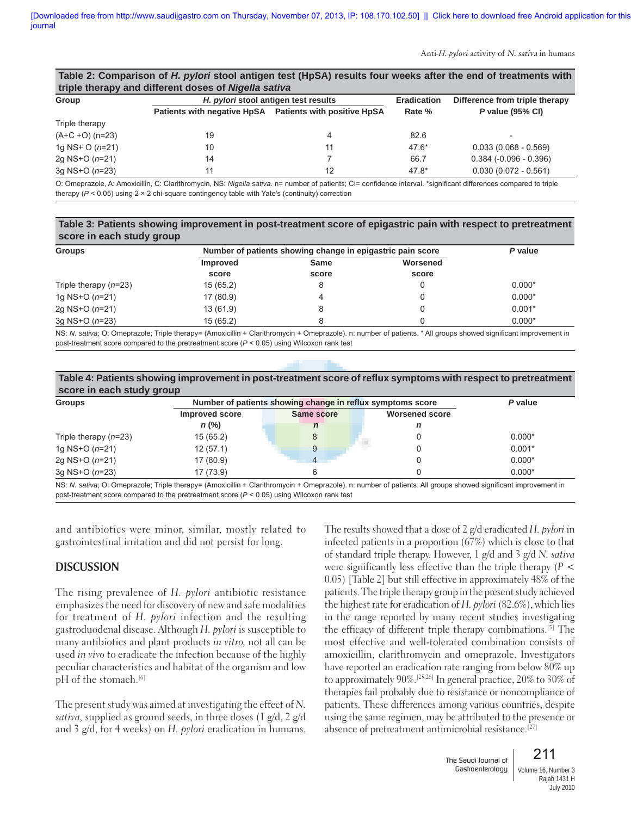Anti-*H. pylori* activity of N. sativa in humans

|                   | Table 2: Comparison of H. pylori stool antigen test (HpSA) results four weeks after the end of treatments with |                                      |                    |                                |
|-------------------|----------------------------------------------------------------------------------------------------------------|--------------------------------------|--------------------|--------------------------------|
|                   | triple therapy and different doses of Nigella sativa                                                           |                                      |                    |                                |
| Group             |                                                                                                                | H. pylori stool antigen test results | <b>Eradication</b> | Difference from triple therapy |
|                   | Patients with negative HpSA Patients with positive HpSA                                                        |                                      | Rate %             | P value (95% CI)               |
| Triple therapy    |                                                                                                                |                                      |                    |                                |
| $(A+C +O)$ (n=23) | 19                                                                                                             | 4                                    | 82.6               |                                |
| 1g NS+ $O(n=21)$  | 10                                                                                                             | 11                                   | $47.6*$            | $0.033(0.068 - 0.569)$         |
| 2q NS+O (n=21)    | 14                                                                                                             |                                      | 66.7               | $0.384 (-0.096 - 0.396)$       |
| 3q NS+O (n=23)    | 11                                                                                                             | 12                                   | $47.8*$            | $0.030(0.072 - 0.561)$         |

O: Omeprazole, A: Amoxicillin, C: Clarithromycin, NS: Nigella sativa. n= number of patients; Cl= confidence interval. \*significant differences compared to triple therapy (*P* < 0.05) using 2 × 2 chi-square contingency table with Yate's (continuity) correction

#### **Table 3: Patients showing improvement in post-treatment score of epigastric pain with respect to pretreatment score in each study group**

| <b>Groups</b>           |                 | Number of patients showing change in epigastric pain score |          |          |
|-------------------------|-----------------|------------------------------------------------------------|----------|----------|
|                         | <b>Improved</b> | Same                                                       | Worsened |          |
|                         | score           | score                                                      | score    |          |
| Triple therapy $(n=23)$ | 15(65.2)        | 8                                                          |          | $0.000*$ |
| 1g NS+O $(n=21)$        | 17 (80.9)       | 4                                                          |          | $0.000*$ |
| 2g NS+O $(n=21)$        | 13(61.9)        | 8                                                          |          | $0.001*$ |
| 3g $NS+O(n=23)$         | 15(65.2)        | 8                                                          |          | $0.000*$ |

NS: *N. sativa*; O: Omeprazole; Triple therapy= (Amoxicillin + Clarithromycin + Omeprazole). n: number of patients. \* All groups showed signifi cant improvement in post-treatment score compared to the pretreatment score (*P* < 0.05) using Wilcoxon rank test

| score in each study group |                       |                                                            | Table 4: Patients showing improvement in post-treatment score of reflux symptoms with respect to pretreatment |          |
|---------------------------|-----------------------|------------------------------------------------------------|---------------------------------------------------------------------------------------------------------------|----------|
| <b>Groups</b>             |                       | Number of patients showing change in reflux symptoms score |                                                                                                               |          |
|                           | <b>Improved score</b> | Same score                                                 | <b>Worsened score</b>                                                                                         |          |
|                           | $n$ (%)               |                                                            | п                                                                                                             |          |
| Triple therapy $(n=23)$   | 15 (65.2)             |                                                            |                                                                                                               | $0.000*$ |

1g NS+O (*n*=21) 12 (57.1) 9 0 0.001<sup>\*</sup> 12 (57.1) 9 0 0.001<sup>\*</sup> 2g NS+O (*n*=21) 17 (80.9) 12 4 0 0.000 0.000 0.000 3g NS+O ( $n=23$ ) 17 (73.9) 6 0 0 0.000<sup>\*</sup> 0.000<sup>\*</sup>

NS: *N. sativa*; O: Omeprazole; Triple therapy= (Amoxicillin + Clarithromycin + Omeprazole). n: number of patients. All groups showed significant improvement in post-treatment score compared to the pretreatment score (*P* < 0.05) using Wilcoxon rank test

and antibiotics were minor, similar, mostly related to gastrointestinal irritation and did not persist for long.

### **DISCUSSION**

The rising prevalence of *H. pylori* antibiotic resistance emphasizes the need for discovery of new and safe modalities for treatment of *H. pylori* infection and the resulting gastroduodenal disease. Although *H. pylori* is susceptible to many antibiotics and plant products *in vitro,* not all can be used *in vivo* to eradicate the infection because of the highly peculiar characteristics and habitat of the organism and low pH of the stomach.<sup>[6]</sup>

The present study was aimed at investigating the effect of *N. sativa,* supplied as ground seeds, in three doses (1 g/d, 2 g/d and 3 g/d, for 4 weeks) on *H. pylori* eradication in humans.

The results showed that a dose of 2 g/d eradicated *H. pylori* in infected patients in a proportion (67%) which is close to that of standard triple therapy. However, 1 g/d and 3 g/d *N. sativa* were significantly less effective than the triple therapy (*P* < 0.05) [Table 2] but still effective in approximately 48% of the patients. The triple therapy group in the present study achieved the highest rate for eradication of *H. pylori* (82.6%), which lies in the range reported by many recent studies investigating the efficacy of different triple therapy combinations.[5] The most effective and well-tolerated combination consists of amoxicillin, clarithromycin and omeprazole. Investigators have reported an eradication rate ranging from below 80% up to approximately 90%.[25,26] In general practice, 20% to 30% of therapies fail probably due to resistance or noncompliance of patients. These differences among various countries, despite using the same regimen, may be attributed to the presence or absence of pretreatment antimicrobial resistance.[27]

> The Saudi Journal of Gastroenterology

## 211

Volume 16, Number 3 Rajab 1431 H July 2010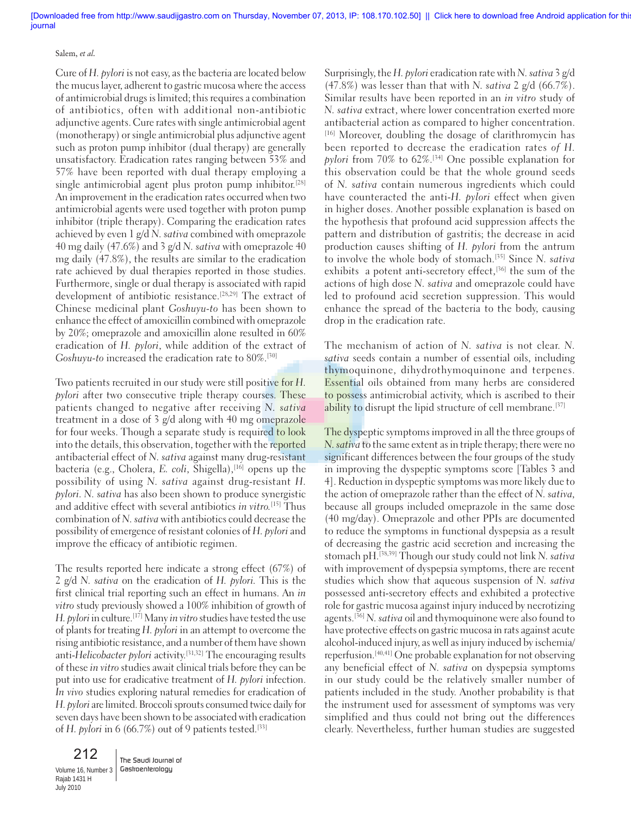#### Salem, *et al.*

Cure of *H. pylori* is not easy, as the bacteria are located below the mucus layer, adherent to gastric mucosa where the access of antimicrobial drugs is limited; this requires a combination of antibiotics, often with additional non-antibiotic adjunctive agents. Cure rates with single antimicrobial agent (monotherapy) or single antimicrobial plus adjunctive agent such as proton pump inhibitor (dual therapy) are generally unsatisfactory. Eradication rates ranging between 53% and 57% have been reported with dual therapy employing a single antimicrobial agent plus proton pump inhibitor.<sup>[28]</sup> An improvement in the eradication rates occurred when two antimicrobial agents were used together with proton pump inhibitor (triple therapy). Comparing the eradication rates achieved by even 1 g/d *N. sativa* combined with omeprazole 40 mg daily (47.6%) and 3 g/d *N. sativa* with omeprazole 40 mg daily (47.8%), the results are similar to the eradication rate achieved by dual therapies reported in those studies. Furthermore, single or dual therapy is associated with rapid development of antibiotic resistance.[28,29] The extract of Chinese medicinal plant *Goshuyu-to* has been shown to enhance the effect of amoxicillin combined with omeprazole by 20%; omeprazole and amoxicillin alone resulted in 60% eradication of *H. pylori*, while addition of the extract of *Goshuyu-to* increased the eradication rate to 80%.[30]

Two patients recruited in our study were still positive for *H. pylori* after two consecutive triple therapy courses. These patients changed to negative after receiving *N. sativa* treatment in a dose of 3 g/d along with 40 mg omeprazole for four weeks. Though a separate study is required to look into the details, this observation, together with the reported antibacterial effect of *N. sativa* against many drug-resistant bacteria (e.g., Cholera, *E. coli*, Shigella),<sup>[16]</sup> opens up the possibility of using *N. sativa* against drug-resistant *H. pylori. N. sativa* has also been shown to produce synergistic and additive effect with several antibiotics *in vitro.*[15] Thus combination of *N. sativa* with antibiotics could decrease the possibility of emergence of resistant colonies of *H. pylori* and improve the efficacy of antibiotic regimen.

The results reported here indicate a strong effect (67%) of 2 g/d *N. sativa* on the eradication of *H. pylori.* This is the first clinical trial reporting such an effect in humans. An *in vitro* study previously showed a 100% inhibition of growth of *H. pylori* in culture.[17] Many *in vitro* studies have tested the use of plants for treating *H. pylori* in an attempt to overcome the rising antibiotic resistance, and a number of them have shown anti-*Helicobacter pylori* activity.[31,32] The encouraging results of these *in vitro* studies await clinical trials before they can be put into use for eradicative treatment of *H. pylori* infection. *In vivo* studies exploring natural remedies for eradication of *H. pylori* are limited. Broccoli sprouts consumed twice daily for seven days have been shown to be associated with eradication of *H. pylori* in 6 (66.7%) out of 9 patients tested.<sup>[33]</sup>

212 Volume 16, Number 3 Gastroenterology Rajab 1431 H July 2010

The Saudi Journal of

Surprisingly, the *H. pylori* eradication rate with *N. sativa* 3 g/d (47.8%) was lesser than that with *N. sativa* 2 g/d (66.7%). Similar results have been reported in an *in vitro* study of *N. sativa* extract, where lower concentration exerted more antibacterial action as compared to higher concentration. [16] Moreover, doubling the dosage of clarithromycin has been reported to decrease the eradication rates *of H. pylori* from 70% to 62%.[34] One possible explanation for this observation could be that the whole ground seeds of *N. sativa* contain numerous ingredients which could have counteracted the anti-*H. pylori* effect when given in higher doses. Another possible explanation is based on the hypothesis that profound acid suppression affects the pattern and distribution of gastritis; the decrease in acid production causes shifting of *H. pylori* from the antrum to involve the whole body of stomach.[35] Since *N. sativa* exhibits a potent anti-secretory effect,<sup>[36]</sup> the sum of the actions of high dose *N. sativa* and omeprazole could have led to profound acid secretion suppression. This would enhance the spread of the bacteria to the body, causing drop in the eradication rate.

The mechanism of action of *N. sativa* is not clear. *N. sativa* seeds contain a number of essential oils, including thymoquinone, dihydrothymoquinone and terpenes. Essential oils obtained from many herbs are considered to possess antimicrobial activity, which is ascribed to their ability to disrupt the lipid structure of cell membrane.<sup>[37]</sup>

The dyspeptic symptoms improved in all the three groups of *N. sativa* to the same extent as in triple therapy; there were no significant differences between the four groups of the study in improving the dyspeptic symptoms score [Tables 3 and 4]. Reduction in dyspeptic symptoms was more likely due to the action of omeprazole rather than the effect of *N. sativa,* because all groups included omeprazole in the same dose (40 mg/day). Omeprazole and other PPIs are documented to reduce the symptoms in functional dyspepsia as a result of decreasing the gastric acid secretion and increasing the stomach pH.[38,39] Though our study could not link *N. sativa*  with improvement of dyspepsia symptoms, there are recent studies which show that aqueous suspension of *N. sativa*  possessed anti-secretory effects and exhibited a protective role for gastric mucosa against injury induced by necrotizing agents.[36] *N. sativa* oil and thymoquinone were also found to have protective effects on gastric mucosa in rats against acute alcohol-induced injury, as well as injury induced by ischemia/ reperfusion.[40,41] One probable explanation for not observing any beneficial effect of *N. sativa* on dyspepsia symptoms in our study could be the relatively smaller number of patients included in the study. Another probability is that the instrument used for assessment of symptoms was very simplified and thus could not bring out the differences clearly. Nevertheless, further human studies are suggested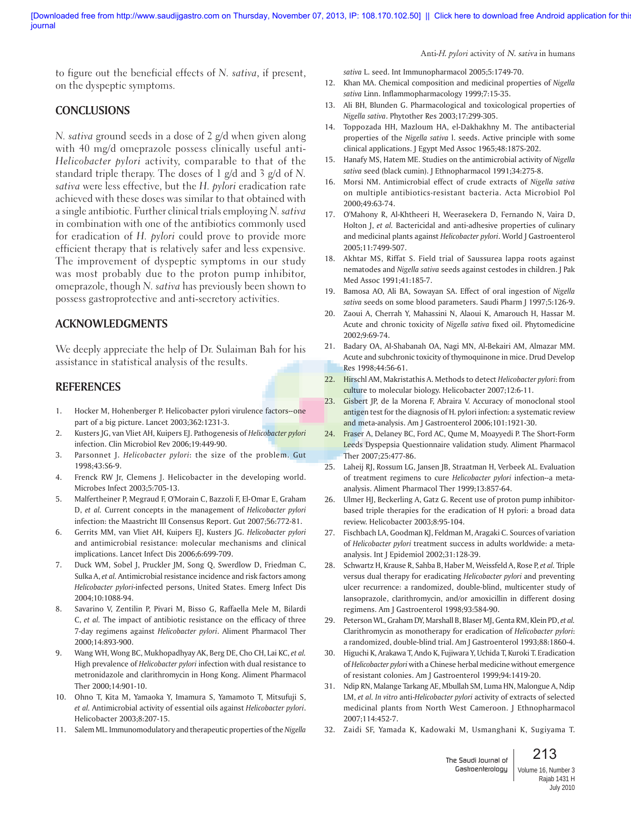Anti-*H. pylori* activity of N. sativa in humans

to figure out the beneficial effects of *N. sativa*, if present, on the dyspeptic symptoms.

## **CONCLUSIONS**

*N. sativa* ground seeds in a dose of 2 g/d when given along with 40 mg/d omeprazole possess clinically useful anti-*Helicobacter pylori* activity, comparable to that of the standard triple therapy. The doses of 1 g/d and 3 g/d of *N. sativa* were less effective, but the *H. pylori* eradication rate achieved with these doses was similar to that obtained with a single antibiotic. Further clinical trials employing *N. sativa* in combination with one of the antibiotics commonly used for eradication of *H. pylori* could prove to provide more efficient therapy that is relatively safer and less expensive*.* The improvement of dyspeptic symptoms in our study was most probably due to the proton pump inhibitor, omeprazole, though *N. sativa* has previously been shown to possess gastroprotective and anti-secretory activities.

### **ACKNOWLEDGMENTS**

We deeply appreciate the help of Dr. Sulaiman Bah for his assistance in statistical analysis of the results.

### **REFERENCES**

- 1. Hocker M, Hohenberger P. Helicobacter pylori virulence factors--one part of a big picture. Lancet 2003;362:1231-3.
- 2. Kusters JG, van Vliet AH, Kuipers EJ. Pathogenesis of *Helicobacter pylori* infection. Clin Microbiol Rev 2006;19:449-90.
- 3. Parsonnet J. *Helicobacter pylori*: the size of the problem. Gut 1998;43:S6-9.
- 4. Frenck RW Jr, Clemens J. Helicobacter in the developing world. Microbes Infect 2003;5:705-13.
- 5. Malfertheiner P, Megraud F, O'Morain C, Bazzoli F, El-Omar E, Graham D, *et al.* Current concepts in the management of *Helicobacter pylori* infection: the Maastricht III Consensus Report. Gut 2007;56:772-81.
- 6. Gerrits MM, van Vliet AH, Kuipers EJ, Kusters JG. *Helicobacter pylori* and antimicrobial resistance: molecular mechanisms and clinical implications. Lancet Infect Dis 2006;6:699-709.
- 7. Duck WM, Sobel J, Pruckler JM, Song Q, Swerdlow D, Friedman C, Sulka A, *et al.* Antimicrobial resistance incidence and risk factors among *Helicobacter pylori*-infected persons, United States. Emerg Infect Dis 2004;10:1088-94.
- 8. Savarino V, Zentilin P, Pivari M, Bisso G, Raffaella Mele M, Bilardi C, *et al.* The impact of antibiotic resistance on the efficacy of three 7-day regimens against *Helicobacter pylori*. Aliment Pharmacol Ther 2000;14:893-900.
- 9. Wang WH, Wong BC, Mukhopadhyay AK, Berg DE, Cho CH, Lai KC, *et al.* High prevalence of *Helicobacter pylori* infection with dual resistance to metronidazole and clarithromycin in Hong Kong. Aliment Pharmacol Ther 2000;14:901-10.
- 10. Ohno T, Kita M, Yamaoka Y, Imamura S, Yamamoto T, Mitsufuji S, *et al.* Antimicrobial activity of essential oils against *Helicobacter pylori*. Helicobacter 2003;8:207-15.
- 11. Salem ML. Immunomodulatory and therapeutic properties of the *Nigella*

*sativa* L. seed. Int Immunopharmacol 2005;5:1749-70.

- 12. Khan MA. Chemical composition and medicinal properties of *Nigella sativa* Linn. Inflammopharmacology 1999;7:15-35.
- 13. Ali BH, Blunden G. Pharmacological and toxicological properties of *Nigella sativa*. Phytother Res 2003;17:299-305.
- 14. Toppozada HH, Mazloum HA, el-Dakhakhny M. The antibacterial properties of the *Nigella sativa* l. seeds. Active principle with some clinical applications. J Egypt Med Assoc 1965;48:187S-202.
- 15. Hanafy MS, Hatem ME. Studies on the antimicrobial activity of *Nigella sativa* seed (black cumin). J Ethnopharmacol 1991;34:275-8.
- 16. Morsi NM. Antimicrobial effect of crude extracts of *Nigella sativa* on multiple antibiotics-resistant bacteria. Acta Microbiol Pol 2000;49:63-74.
- 17. O'Mahony R, Al-Khtheeri H, Weerasekera D, Fernando N, Vaira D, Holton J, *et al.* Bactericidal and anti-adhesive properties of culinary and medicinal plants against *Helicobacter pylori*. World J Gastroenterol 2005;11:7499-507.
- 18. Akhtar MS, Riffat S. Field trial of Saussurea lappa roots against nematodes and *Nigella sativa* seeds against cestodes in children. J Pak Med Assoc 1991;41:185-7.
- 19. Bamosa AO, Ali BA, Sowayan SA. Effect of oral ingestion of *Nigella sativa* seeds on some blood parameters. Saudi Pharm J 1997;5:126-9.
- 20. Zaoui A, Cherrah Y, Mahassini N, Alaoui K, Amarouch H, Hassar M. Acute and chronic toxicity of *Nigella sativa* fixed oil. Phytomedicine 2002;9:69-74.
- 21. Badary OA, Al-Shabanah OA, Nagi MN, Al-Bekairi AM, Almazar MM. Acute and subchronic toxicity of thymoquinone in mice. Drud Develop Res 1998;44:56-61.
- 22. Hirschl AM, Makristathis A. Methods to detect *Helicobacter pylori*: from culture to molecular biology. Helicobacter 2007;12:6-11.
- 23. Gisbert JP, de la Morena F, Abraira V. Accuracy of monoclonal stool antigen test for the diagnosis of H. pylori infection: a systematic review and meta-analysis. Am J Gastroenterol 2006;101:1921-30.
- 24. Fraser A, Delaney BC, Ford AC, Qume M, Moayyedi P. The Short-Form Leeds Dyspepsia Questionnaire validation study. Aliment Pharmacol Ther 2007;25:477-86.
- 25. Laheij RJ, Rossum LG, Jansen JB, Straatman H, Verbeek AL. Evaluation of treatment regimens to cure *Helicobacter pylori* infection--a metaanalysis. Aliment Pharmacol Ther 1999;13:857-64.
- 26. Ulmer HJ, Beckerling A, Gatz G. Recent use of proton pump inhibitorbased triple therapies for the eradication of H pylori: a broad data review. Helicobacter 2003;8:95-104.
- 27. Fischbach LA, Goodman KJ, Feldman M, Aragaki C. Sources of variation of *Helicobacter pylori* treatment success in adults worldwide: a metaanalysis. Int J Epidemiol 2002;31:128-39.
- 28. Schwartz H, Krause R, Sahba B, Haber M, Weissfeld A, Rose P, *et al.* Triple versus dual therapy for eradicating *Helicobacter pylori* and preventing ulcer recurrence: a randomized, double-blind, multicenter study of lansoprazole, clarithromycin, and/or amoxicillin in different dosing regimens. Am J Gastroenterol 1998;93:584-90.
- 29. Peterson WL, Graham DY, Marshall B, Blaser MJ, Genta RM, Klein PD, *et al.* Clarithromycin as monotherapy for eradication of *Helicobacter pylori*: a randomized, double-blind trial. Am J Gastroenterol 1993;88:1860-4.
- 30. Higuchi K, Arakawa T, Ando K, Fujiwara Y, Uchida T, Kuroki T. Eradication of *Helicobacter pylori* with a Chinese herbal medicine without emergence of resistant colonies. Am J Gastroenterol 1999;94:1419-20.
- 31. Ndip RN, Malange Tarkang AE, Mbullah SM, Luma HN, Malongue A, Ndip LM, *et al. In vitro* anti-*Helicobacter pylori* activity of extracts of selected medicinal plants from North West Cameroon. J Ethnopharmacol 2007;114:452-7.
- 32. Zaidi SF, Yamada K, Kadowaki M, Usmanghani K, Sugiyama T.

The Saudi Journal of Gastroenterology